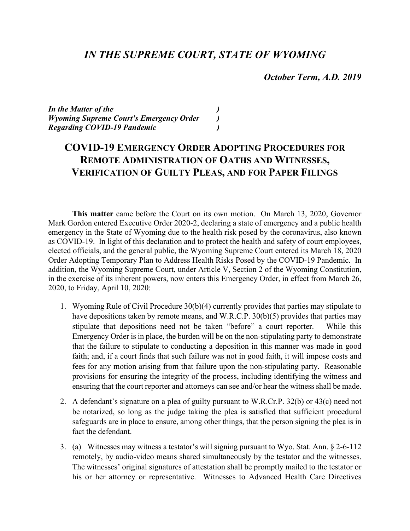## *IN THE SUPREME COURT, STATE OF WYOMING*

 *October Term, A.D. 2019*

*In the Matter of the ) Wyoming Supreme Court's Emergency Order ) Regarding COVID-19 Pandemic )*

## **COVID-19 EMERGENCY ORDER ADOPTING PROCEDURES FOR REMOTE ADMINISTRATION OF OATHS AND WITNESSES, VERIFICATION OF GUILTY PLEAS, AND FOR PAPER FILINGS**

**This matter** came before the Court on its own motion. On March 13, 2020, Governor Mark Gordon entered Executive Order 2020-2, declaring a state of emergency and a public health emergency in the State of Wyoming due to the health risk posed by the coronavirus, also known as COVID-19. In light of this declaration and to protect the health and safety of court employees, elected officials, and the general public, the Wyoming Supreme Court entered its March 18, 2020 Order Adopting Temporary Plan to Address Health Risks Posed by the COVID-19 Pandemic. In addition, the Wyoming Supreme Court, under Article V, Section 2 of the Wyoming Constitution, in the exercise of its inherent powers, now enters this Emergency Order, in effect from March 26, 2020, to Friday, April 10, 2020:

- 1. Wyoming Rule of Civil Procedure 30(b)(4) currently provides that parties may stipulate to have depositions taken by remote means, and W.R.C.P. 30(b)(5) provides that parties may stipulate that depositions need not be taken "before" a court reporter. While this Emergency Order is in place, the burden will be on the non-stipulating party to demonstrate that the failure to stipulate to conducting a deposition in this manner was made in good faith; and, if a court finds that such failure was not in good faith, it will impose costs and fees for any motion arising from that failure upon the non-stipulating party. Reasonable provisions for ensuring the integrity of the process, including identifying the witness and ensuring that the court reporter and attorneys can see and/or hear the witness shall be made.
- 2. A defendant's signature on a plea of guilty pursuant to W.R.Cr.P. 32(b) or 43(c) need not be notarized, so long as the judge taking the plea is satisfied that sufficient procedural safeguards are in place to ensure, among other things, that the person signing the plea is in fact the defendant.
- 3. (a) Witnesses may witness a testator's will signing pursuant to Wyo. Stat. Ann. § 2-6-112 remotely, by audio-video means shared simultaneously by the testator and the witnesses. The witnesses' original signatures of attestation shall be promptly mailed to the testator or his or her attorney or representative. Witnesses to Advanced Health Care Directives